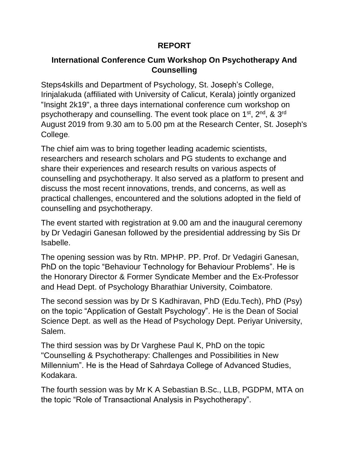## **REPORT**

## **International Conference Cum Workshop On Psychotherapy And Counselling**

Steps4skills and Department of Psychology, St. Joseph's College, Irinjalakuda (affiliated with University of Calicut, Kerala) jointly organized "Insight 2k19", a three days international conference cum workshop on psychotherapy and counselling. The event took place on 1<sup>st</sup>, 2<sup>nd</sup>, & 3<sup>rd</sup> August 2019 from 9.30 am to 5.00 pm at the Research Center, St. Joseph's College.

The chief aim was to bring together leading academic scientists, researchers and research scholars and PG students to exchange and share their experiences and research results on various aspects of counselling and psychotherapy. It also served as a platform to present and discuss the most recent innovations, trends, and concerns, as well as practical challenges, encountered and the solutions adopted in the field of counselling and psychotherapy.

The event started with registration at 9.00 am and the inaugural ceremony by Dr Vedagiri Ganesan followed by the presidential addressing by Sis Dr Isabelle.

The opening session was by Rtn. MPHP. PP. Prof. Dr Vedagiri Ganesan, PhD on the topic "Behaviour Technology for Behaviour Problems". He is the Honorary Director & Former Syndicate Member and the Ex-Professor and Head Dept. of Psychology Bharathiar University, Coimbatore.

The second session was by Dr S Kadhiravan, PhD (Edu.Tech), PhD (Psy) on the topic "Application of Gestalt Psychology". He is the Dean of Social Science Dept. as well as the Head of Psychology Dept. Periyar University, Salem.

The third session was by Dr Varghese Paul K, PhD on the topic "Counselling & Psychotherapy: Challenges and Possibilities in New Millennium". He is the Head of Sahrdaya College of Advanced Studies, Kodakara.

The fourth session was by Mr K A Sebastian B.Sc., LLB, PGDPM, MTA on the topic "Role of Transactional Analysis in Psychotherapy".